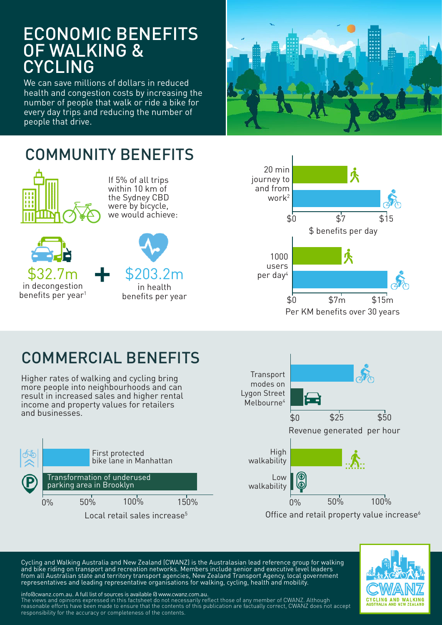### ECONOMIC BENEFITS OF WALKING & CYCLING

We can save millions of dollars in reduced health and congestion costs by increasing the number of people that walk or ride a bike for every day trips and reducing the number of people that drive.



### COMMUNITY BENEFITS



If 5% of all trips within 10 km of the Sydney CBD were by bicycle, we would achieve:





# COMMERCIAL BENEFITS

Higher rates of walking and cycling bring more people into neighbourhoods and can result in increased sales and higher rental income and property values for retailers and businesses.





Cycling and Walking Australia and New Zealand (CWANZ) is the Australasian lead reference group for walking and bike riding on transport and recreation networks. Members include senior and executive level leaders from all Australian state and territory transport agencies, New Zealand Transport Agency, local government representatives and leading representative organisations for walking, cycling, health and mobility.



info@cwanz.com.au. A full list of sources is available @ www.cwanz.com.au. The views and opinions expressed in this factsheet do not necessarily reflect those of any member of CWANZ. Although reasonable efforts have been made to ensure that the contents of this publication are factually correct, CWANZ does not accept responsibility for the accuracy or completeness of the contents.